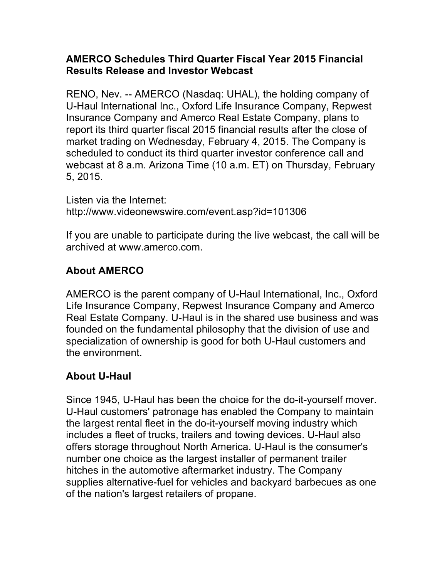## **AMERCO Schedules Third Quarter Fiscal Year 2015 Financial Results Release and Investor Webcast**

RENO, Nev. -- AMERCO (Nasdaq: UHAL), the holding company of U-Haul International Inc., Oxford Life Insurance Company, Repwest Insurance Company and Amerco Real Estate Company, plans to report its third quarter fiscal 2015 financial results after the close of market trading on Wednesday, February 4, 2015. The Company is scheduled to conduct its third quarter investor conference call and webcast at 8 a.m. Arizona Time (10 a.m. ET) on Thursday, February 5, 2015.

Listen via the Internet: http://www.videonewswire.com/event.asp?id=101306

If you are unable to participate during the live webcast, the call will be archived at www.amerco.com.

## **About AMERCO**

AMERCO is the parent company of U-Haul International, Inc., Oxford Life Insurance Company, Repwest Insurance Company and Amerco Real Estate Company. U-Haul is in the shared use business and was founded on the fundamental philosophy that the division of use and specialization of ownership is good for both U-Haul customers and the environment.

## **About U-Haul**

Since 1945, U-Haul has been the choice for the do-it-yourself mover. U-Haul customers' patronage has enabled the Company to maintain the largest rental fleet in the do-it-yourself moving industry which includes a fleet of trucks, trailers and towing devices. U-Haul also offers storage throughout North America. U-Haul is the consumer's number one choice as the largest installer of permanent trailer hitches in the automotive aftermarket industry. The Company supplies alternative-fuel for vehicles and backyard barbecues as one of the nation's largest retailers of propane.